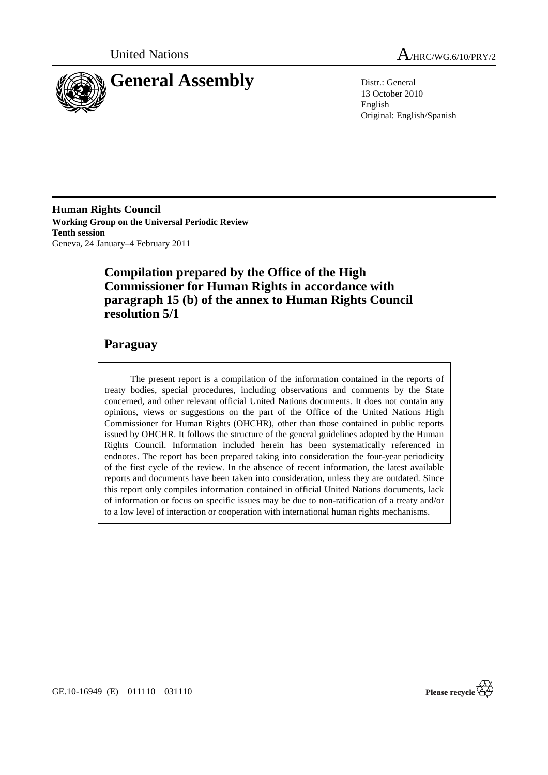

United Nations A/HRC/WG.6/10/PRY/2

13 October 2010 English Original: English/Spanish

**Human Rights Council Working Group on the Universal Periodic Review Tenth session**  Geneva, 24 January–4 February 2011

## **Compilation prepared by the Office of the High Commissioner for Human Rights in accordance with paragraph 15 (b) of the annex to Human Rights Council resolution 5/1**

## **Paraguay**

 The present report is a compilation of the information contained in the reports of treaty bodies, special procedures, including observations and comments by the State concerned, and other relevant official United Nations documents. It does not contain any opinions, views or suggestions on the part of the Office of the United Nations High Commissioner for Human Rights (OHCHR), other than those contained in public reports issued by OHCHR. It follows the structure of the general guidelines adopted by the Human Rights Council. Information included herein has been systematically referenced in endnotes. The report has been prepared taking into consideration the four-year periodicity of the first cycle of the review. In the absence of recent information, the latest available reports and documents have been taken into consideration, unless they are outdated. Since this report only compiles information contained in official United Nations documents, lack of information or focus on specific issues may be due to non-ratification of a treaty and/or to a low level of interaction or cooperation with international human rights mechanisms.

Please recycle

GE.10-16949 (E) 011110 031110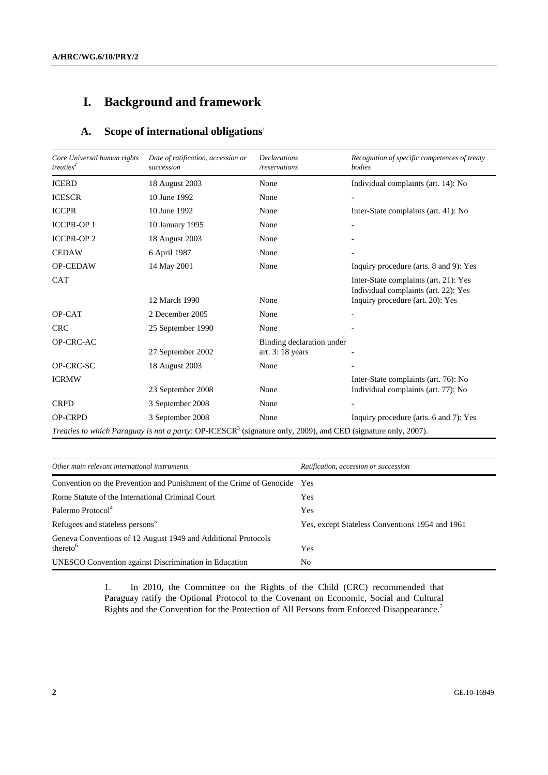# **I. Background and framework**

## **A. Scope of international obligations**<sup>1</sup>

| Core Universal human rights<br>treaties <sup>2</sup> | Date of ratification, accession or<br>succession                                                                          | <b>Declarations</b><br>/reservations           | Recognition of specific competences of treaty<br>bodies                       |  |
|------------------------------------------------------|---------------------------------------------------------------------------------------------------------------------------|------------------------------------------------|-------------------------------------------------------------------------------|--|
| <b>ICERD</b>                                         | 18 August 2003                                                                                                            | None                                           | Individual complaints (art. 14): No                                           |  |
| <b>ICESCR</b>                                        | 10 June 1992                                                                                                              | None                                           |                                                                               |  |
| <b>ICCPR</b>                                         | 10 June 1992                                                                                                              | None                                           | Inter-State complaints (art. 41): No                                          |  |
| <b>ICCPR-OP1</b>                                     | 10 January 1995                                                                                                           | None                                           |                                                                               |  |
| <b>ICCPR-OP2</b>                                     | 18 August 2003                                                                                                            | None                                           |                                                                               |  |
| <b>CEDAW</b>                                         | 6 April 1987                                                                                                              | None                                           |                                                                               |  |
| OP-CEDAW                                             | 14 May 2001                                                                                                               | None                                           | Inquiry procedure (arts. 8 and 9): Yes                                        |  |
| <b>CAT</b>                                           |                                                                                                                           |                                                | Inter-State complaints (art. 21): Yes<br>Individual complaints (art. 22): Yes |  |
|                                                      | 12 March 1990                                                                                                             | None                                           | Inquiry procedure (art. 20): Yes                                              |  |
| OP-CAT                                               | 2 December 2005                                                                                                           | None                                           |                                                                               |  |
| <b>CRC</b>                                           | 25 September 1990                                                                                                         | None                                           |                                                                               |  |
| OP-CRC-AC                                            | 27 September 2002                                                                                                         | Binding declaration under<br>art. $3:18$ years |                                                                               |  |
| OP-CRC-SC                                            | 18 August 2003                                                                                                            | None                                           |                                                                               |  |
| <b>ICRMW</b>                                         | 23 September 2008                                                                                                         | None                                           | Inter-State complaints (art. 76): No<br>Individual complaints (art. 77): No   |  |
| <b>CRPD</b>                                          | 3 September 2008                                                                                                          | None                                           |                                                                               |  |
| <b>OP-CRPD</b>                                       | 3 September 2008                                                                                                          | None                                           | Inquiry procedure (arts. 6 and 7): Yes                                        |  |
|                                                      | Treaties to which Paraguay is not a party: OP-ICESCR <sup>3</sup> (signature only, 2009), and CED (signature only, 2007). |                                                |                                                                               |  |

| Other main relevant international instruments                                         | Ratification, accession or succession           |
|---------------------------------------------------------------------------------------|-------------------------------------------------|
| Convention on the Prevention and Punishment of the Crime of Genocide Yes              |                                                 |
| Rome Statute of the International Criminal Court                                      | Yes                                             |
| Palermo Protocol <sup>4</sup>                                                         | Yes                                             |
| Refugees and stateless persons <sup>5</sup>                                           | Yes, except Stateless Conventions 1954 and 1961 |
| Geneva Conventions of 12 August 1949 and Additional Protocols<br>thereto <sup>6</sup> | Yes                                             |
| <b>UNESCO</b> Convention against Discrimination in Education                          | No                                              |

1. In 2010, the Committee on the Rights of the Child (CRC) recommended that Paraguay ratify the Optional Protocol to the Covenant on Economic, Social and Cultural Rights and the Convention for the Protection of All Persons from Enforced Disappearance.7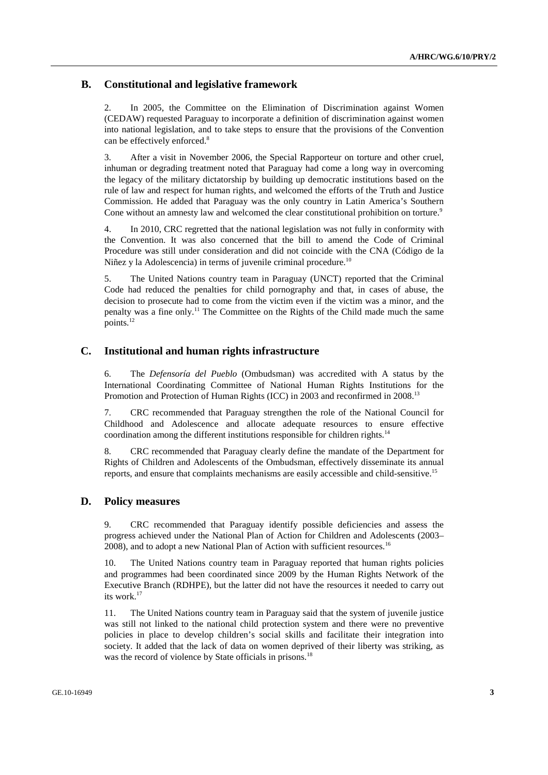### **B. Constitutional and legislative framework**

2. In 2005, the Committee on the Elimination of Discrimination against Women (CEDAW) requested Paraguay to incorporate a definition of discrimination against women into national legislation, and to take steps to ensure that the provisions of the Convention can be effectively enforced.<sup>8</sup>

3. After a visit in November 2006, the Special Rapporteur on torture and other cruel, inhuman or degrading treatment noted that Paraguay had come a long way in overcoming the legacy of the military dictatorship by building up democratic institutions based on the rule of law and respect for human rights, and welcomed the efforts of the Truth and Justice Commission. He added that Paraguay was the only country in Latin America's Southern Cone without an amnesty law and welcomed the clear constitutional prohibition on torture.<sup>9</sup>

4. In 2010, CRC regretted that the national legislation was not fully in conformity with the Convention. It was also concerned that the bill to amend the Code of Criminal Procedure was still under consideration and did not coincide with the CNA (Código de la Niñez y la Adolescencia) in terms of juvenile criminal procedure.<sup>10</sup>

5. The United Nations country team in Paraguay (UNCT) reported that the Criminal Code had reduced the penalties for child pornography and that, in cases of abuse, the decision to prosecute had to come from the victim even if the victim was a minor, and the penalty was a fine only.11 The Committee on the Rights of the Child made much the same points.12

## **C. Institutional and human rights infrastructure**

6. The *Defensoría del Pueblo* (Ombudsman) was accredited with A status by the International Coordinating Committee of National Human Rights Institutions for the Promotion and Protection of Human Rights (ICC) in 2003 and reconfirmed in 2008.<sup>13</sup>

7. CRC recommended that Paraguay strengthen the role of the National Council for Childhood and Adolescence and allocate adequate resources to ensure effective coordination among the different institutions responsible for children rights.<sup>14</sup>

8. CRC recommended that Paraguay clearly define the mandate of the Department for Rights of Children and Adolescents of the Ombudsman, effectively disseminate its annual reports, and ensure that complaints mechanisms are easily accessible and child-sensitive.<sup>15</sup>

### **D. Policy measures**

9. CRC recommended that Paraguay identify possible deficiencies and assess the progress achieved under the National Plan of Action for Children and Adolescents (2003– 2008), and to adopt a new National Plan of Action with sufficient resources.<sup>16</sup>

10. The United Nations country team in Paraguay reported that human rights policies and programmes had been coordinated since 2009 by the Human Rights Network of the Executive Branch (RDHPE), but the latter did not have the resources it needed to carry out its work.<sup>17</sup>

11. The United Nations country team in Paraguay said that the system of juvenile justice was still not linked to the national child protection system and there were no preventive policies in place to develop children's social skills and facilitate their integration into society. It added that the lack of data on women deprived of their liberty was striking, as was the record of violence by State officials in prisons.<sup>18</sup>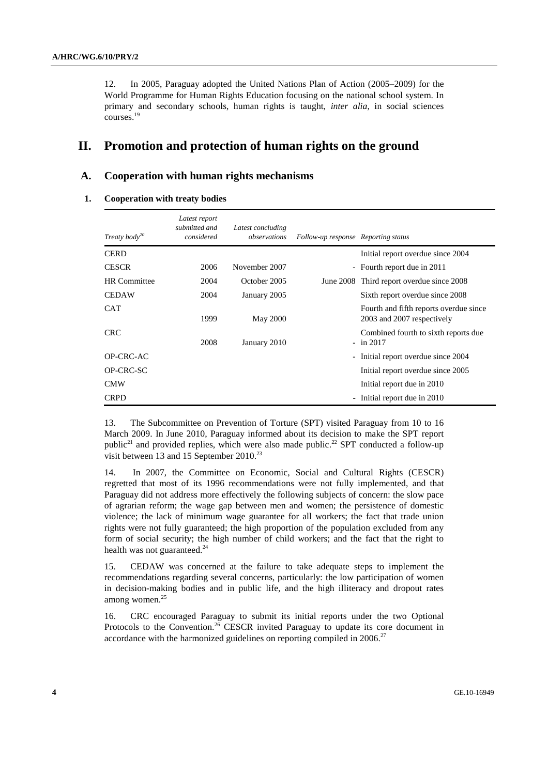12. In 2005, Paraguay adopted the United Nations Plan of Action (2005–2009) for the World Programme for Human Rights Education focusing on the national school system. In primary and secondary schools, human rights is taught, *inter alia*, in social sciences courses.19

## **II. Promotion and protection of human rights on the ground**

### **A. Cooperation with human rights mechanisms**

#### **1. Cooperation with treaty bodies**

| Treaty body <sup>20</sup> | Latest report<br>submitted and<br>considered | Latest concluding<br>observations | Follow-up response Reporting status |                                                                      |
|---------------------------|----------------------------------------------|-----------------------------------|-------------------------------------|----------------------------------------------------------------------|
| <b>CERD</b>               |                                              |                                   |                                     | Initial report overdue since 2004                                    |
| <b>CESCR</b>              | 2006                                         | November 2007                     |                                     | - Fourth report due in 2011                                          |
| <b>HR</b> Committee       | 2004                                         | October 2005                      |                                     | June 2008 Third report overdue since 2008                            |
| <b>CEDAW</b>              | 2004                                         | January 2005                      |                                     | Sixth report overdue since 2008                                      |
| <b>CAT</b>                | 1999                                         | <b>May 2000</b>                   |                                     | Fourth and fifth reports overdue since<br>2003 and 2007 respectively |
| <b>CRC</b>                | 2008                                         | January 2010                      |                                     | Combined fourth to sixth reports due<br>$-$ in 2017                  |
| OP-CRC-AC                 |                                              |                                   |                                     | - Initial report overdue since 2004                                  |
| OP-CRC-SC                 |                                              |                                   |                                     | Initial report overdue since 2005                                    |
| <b>CMW</b>                |                                              |                                   |                                     | Initial report due in 2010                                           |
| <b>CRPD</b>               |                                              |                                   |                                     | - Initial report due in 2010                                         |

13. The Subcommittee on Prevention of Torture (SPT) visited Paraguay from 10 to 16 March 2009. In June 2010, Paraguay informed about its decision to make the SPT report public<sup>21</sup> and provided replies, which were also made public.<sup>22</sup> SPT conducted a follow-up visit between 13 and 15 September 2010.<sup>23</sup>

14. In 2007, the Committee on Economic, Social and Cultural Rights (CESCR) regretted that most of its 1996 recommendations were not fully implemented, and that Paraguay did not address more effectively the following subjects of concern: the slow pace of agrarian reform; the wage gap between men and women; the persistence of domestic violence; the lack of minimum wage guarantee for all workers; the fact that trade union rights were not fully guaranteed; the high proportion of the population excluded from any form of social security; the high number of child workers; and the fact that the right to health was not guaranteed.<sup>24</sup>

15. CEDAW was concerned at the failure to take adequate steps to implement the recommendations regarding several concerns, particularly: the low participation of women in decision-making bodies and in public life, and the high illiteracy and dropout rates among women.25

16. CRC encouraged Paraguay to submit its initial reports under the two Optional Protocols to the Convention.26 CESCR invited Paraguay to update its core document in accordance with the harmonized guidelines on reporting compiled in  $2006$ <sup>27</sup>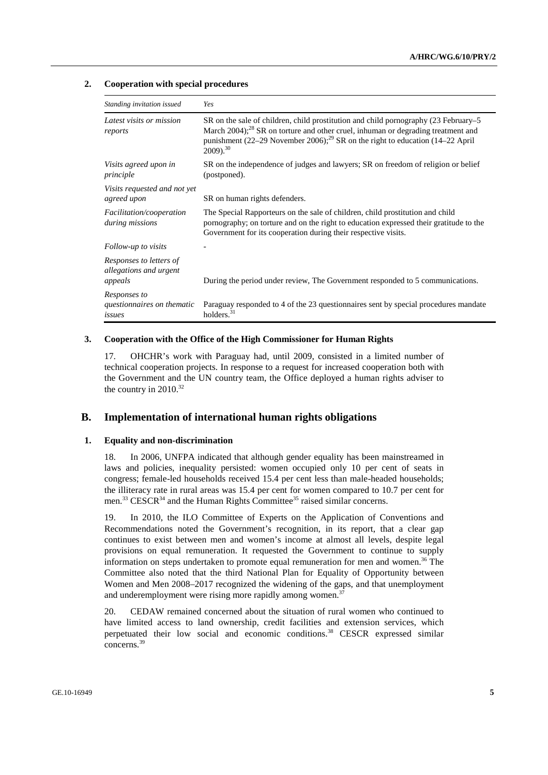#### **2. Cooperation with special procedures**

| Standing invitation issued                                   | Yes                                                                                                                                                                                                                                                                                                         |
|--------------------------------------------------------------|-------------------------------------------------------------------------------------------------------------------------------------------------------------------------------------------------------------------------------------------------------------------------------------------------------------|
| Latest visits or mission<br>reports                          | SR on the sale of children, child prostitution and child pornography (23 February–5<br>March 2004); <sup>28</sup> SR on torture and other cruel, inhuman or degrading treatment and<br>punishment (22–29 November 2006); <sup>29</sup> SR on the right to education (14–22 April<br>$2009$ ). <sup>30</sup> |
| Visits agreed upon in<br>principle                           | SR on the independence of judges and lawyers; SR on freedom of religion or belief<br>(postponed).                                                                                                                                                                                                           |
| Visits requested and not yet<br>agreed upon                  | SR on human rights defenders.                                                                                                                                                                                                                                                                               |
| <i>Facilitation/cooperation</i><br>during missions           | The Special Rapporteurs on the sale of children, child prostitution and child<br>pornography; on torture and on the right to education expressed their gratitude to the<br>Government for its cooperation during their respective visits.                                                                   |
| Follow-up to visits                                          |                                                                                                                                                                                                                                                                                                             |
| Responses to letters of<br>allegations and urgent<br>appeals | During the period under review, The Government responded to 5 communications.                                                                                                                                                                                                                               |
| Responses to<br>questionnaires on thematic<br>issues         | Paraguay responded to 4 of the 23 questionnaires sent by special procedures mandate<br>holders. $31$                                                                                                                                                                                                        |

#### **3. Cooperation with the Office of the High Commissioner for Human Rights**

17. OHCHR's work with Paraguay had, until 2009, consisted in a limited number of technical cooperation projects. In response to a request for increased cooperation both with the Government and the UN country team, the Office deployed a human rights adviser to the country in  $2010^{32}$ 

## **B. Implementation of international human rights obligations**

#### **1. Equality and non-discrimination**

18. In 2006, UNFPA indicated that although gender equality has been mainstreamed in laws and policies, inequality persisted: women occupied only 10 per cent of seats in congress; female-led households received 15.4 per cent less than male-headed households; the illiteracy rate in rural areas was 15.4 per cent for women compared to 10.7 per cent for men.<sup>33</sup> CESCR<sup>34</sup> and the Human Rights Committee<sup>35</sup> raised similar concerns.

19. In 2010, the ILO Committee of Experts on the Application of Conventions and Recommendations noted the Government's recognition, in its report, that a clear gap continues to exist between men and women's income at almost all levels, despite legal provisions on equal remuneration. It requested the Government to continue to supply information on steps undertaken to promote equal remuneration for men and women.<sup>36</sup> The Committee also noted that the third National Plan for Equality of Opportunity between Women and Men 2008–2017 recognized the widening of the gaps, and that unemployment and underemployment were rising more rapidly among women.<sup>3</sup>

20. CEDAW remained concerned about the situation of rural women who continued to have limited access to land ownership, credit facilities and extension services, which perpetuated their low social and economic conditions.<sup>38</sup> CESCR expressed similar concerns.39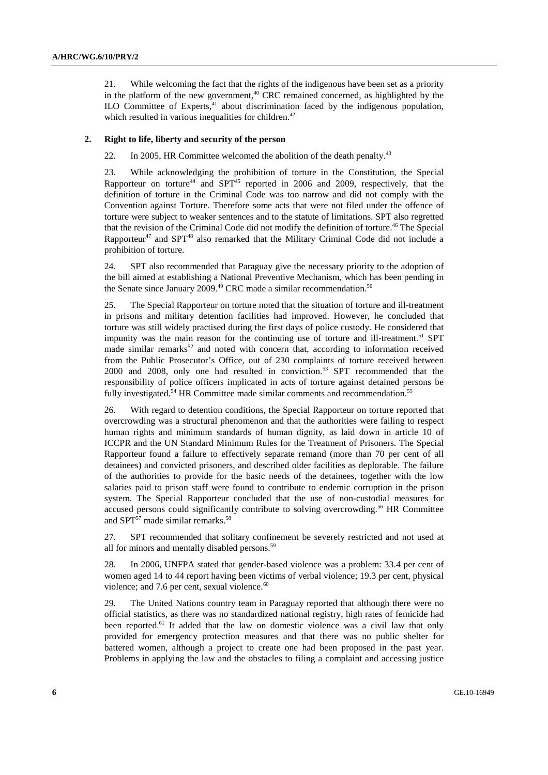21. While welcoming the fact that the rights of the indigenous have been set as a priority in the platform of the new government, $40$  CRC remained concerned, as highlighted by the ILO Committee of Experts, $41$  about discrimination faced by the indigenous population, which resulted in various inequalities for children. $42$ 

#### **2. Right to life, liberty and security of the person**

22. In 2005, HR Committee welcomed the abolition of the death penalty.<sup>43</sup>

23. While acknowledging the prohibition of torture in the Constitution, the Special Rapporteur on torture<sup>44</sup> and SPT<sup>45</sup> reported in 2006 and 2009, respectively, that the definition of torture in the Criminal Code was too narrow and did not comply with the Convention against Torture. Therefore some acts that were not filed under the offence of torture were subject to weaker sentences and to the statute of limitations. SPT also regretted that the revision of the Criminal Code did not modify the definition of torture.<sup>46</sup> The Special Rapporteur<sup>47</sup> and SPT<sup>48</sup> also remarked that the Military Criminal Code did not include a prohibition of torture.

24. SPT also recommended that Paraguay give the necessary priority to the adoption of the bill aimed at establishing a National Preventive Mechanism, which has been pending in the Senate since January 2009.<sup>49</sup> CRC made a similar recommendation.<sup>50</sup>

25. The Special Rapporteur on torture noted that the situation of torture and ill-treatment in prisons and military detention facilities had improved. However, he concluded that torture was still widely practised during the first days of police custody. He considered that impunity was the main reason for the continuing use of torture and ill-treatment.<sup>51</sup> SPT made similar remarks<sup>52</sup> and noted with concern that, according to information received from the Public Prosecutor's Office, out of 230 complaints of torture received between 2000 and 2008, only one had resulted in conviction.<sup>53</sup> SPT recommended that the responsibility of police officers implicated in acts of torture against detained persons be fully investigated.<sup>54</sup> HR Committee made similar comments and recommendation.<sup>55</sup>

26. With regard to detention conditions, the Special Rapporteur on torture reported that overcrowding was a structural phenomenon and that the authorities were failing to respect human rights and minimum standards of human dignity, as laid down in article 10 of ICCPR and the UN Standard Minimum Rules for the Treatment of Prisoners. The Special Rapporteur found a failure to effectively separate remand (more than 70 per cent of all detainees) and convicted prisoners, and described older facilities as deplorable. The failure of the authorities to provide for the basic needs of the detainees, together with the low salaries paid to prison staff were found to contribute to endemic corruption in the prison system. The Special Rapporteur concluded that the use of non-custodial measures for accused persons could significantly contribute to solving overcrowding.<sup>56</sup> HR Committee and SPT<sup>57</sup> made similar remarks.<sup>58</sup>

27. SPT recommended that solitary confinement be severely restricted and not used at all for minors and mentally disabled persons.<sup>59</sup>

28. In 2006, UNFPA stated that gender-based violence was a problem: 33.4 per cent of women aged 14 to 44 report having been victims of verbal violence; 19.3 per cent, physical violence; and 7.6 per cent, sexual violence.<sup>60</sup>

29. The United Nations country team in Paraguay reported that although there were no official statistics, as there was no standardized national registry, high rates of femicide had been reported.<sup>61</sup> It added that the law on domestic violence was a civil law that only provided for emergency protection measures and that there was no public shelter for battered women, although a project to create one had been proposed in the past year. Problems in applying the law and the obstacles to filing a complaint and accessing justice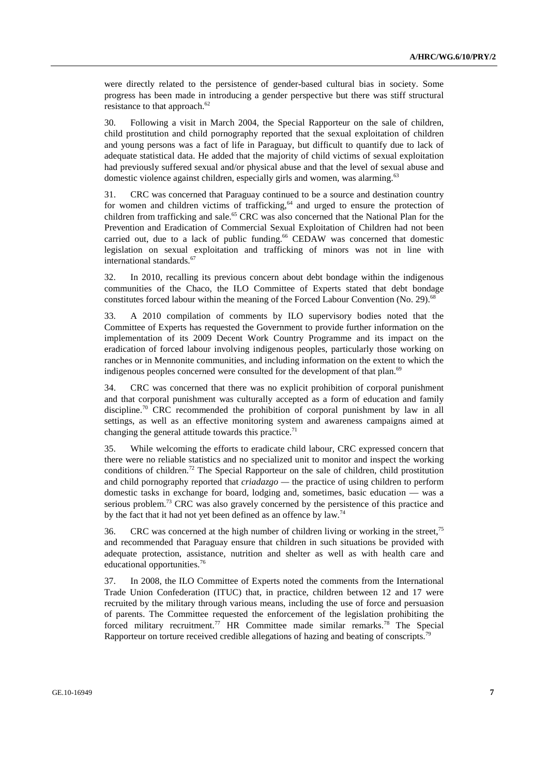were directly related to the persistence of gender-based cultural bias in society. Some progress has been made in introducing a gender perspective but there was stiff structural resistance to that approach. $62$ 

30. Following a visit in March 2004, the Special Rapporteur on the sale of children, child prostitution and child pornography reported that the sexual exploitation of children and young persons was a fact of life in Paraguay, but difficult to quantify due to lack of adequate statistical data. He added that the majority of child victims of sexual exploitation had previously suffered sexual and/or physical abuse and that the level of sexual abuse and domestic violence against children, especially girls and women, was alarming.<sup>63</sup>

31. CRC was concerned that Paraguay continued to be a source and destination country for women and children victims of trafficking, $64$  and urged to ensure the protection of children from trafficking and sale.<sup>65</sup> CRC was also concerned that the National Plan for the Prevention and Eradication of Commercial Sexual Exploitation of Children had not been carried out, due to a lack of public funding.<sup>66</sup> CEDAW was concerned that domestic legislation on sexual exploitation and trafficking of minors was not in line with international standards.<sup>67</sup>

32. In 2010, recalling its previous concern about debt bondage within the indigenous communities of the Chaco, the ILO Committee of Experts stated that debt bondage constitutes forced labour within the meaning of the Forced Labour Convention (No. 29).<sup>68</sup>

33. A 2010 compilation of comments by ILO supervisory bodies noted that the Committee of Experts has requested the Government to provide further information on the implementation of its 2009 Decent Work Country Programme and its impact on the eradication of forced labour involving indigenous peoples, particularly those working on ranches or in Mennonite communities, and including information on the extent to which the indigenous peoples concerned were consulted for the development of that plan.<sup>69</sup>

34. CRC was concerned that there was no explicit prohibition of corporal punishment and that corporal punishment was culturally accepted as a form of education and family discipline.<sup>70</sup> CRC recommended the prohibition of corporal punishment by law in all settings, as well as an effective monitoring system and awareness campaigns aimed at changing the general attitude towards this practice.<sup>71</sup>

35. While welcoming the efforts to eradicate child labour, CRC expressed concern that there were no reliable statistics and no specialized unit to monitor and inspect the working conditions of children.<sup>72</sup> The Special Rapporteur on the sale of children, child prostitution and child pornography reported that *criadazgo —* the practice of using children to perform domestic tasks in exchange for board, lodging and, sometimes, basic education — was a serious problem.<sup>73</sup> CRC was also gravely concerned by the persistence of this practice and by the fact that it had not yet been defined as an offence by law.<sup>74</sup>

36. CRC was concerned at the high number of children living or working in the street, $^{75}$ and recommended that Paraguay ensure that children in such situations be provided with adequate protection, assistance, nutrition and shelter as well as with health care and educational opportunities.76

37. In 2008, the ILO Committee of Experts noted the comments from the International Trade Union Confederation (ITUC) that, in practice, children between 12 and 17 were recruited by the military through various means, including the use of force and persuasion of parents. The Committee requested the enforcement of the legislation prohibiting the forced military recruitment.<sup>77</sup> HR Committee made similar remarks.<sup>78</sup> The Special Rapporteur on torture received credible allegations of hazing and beating of conscripts.<sup>79</sup>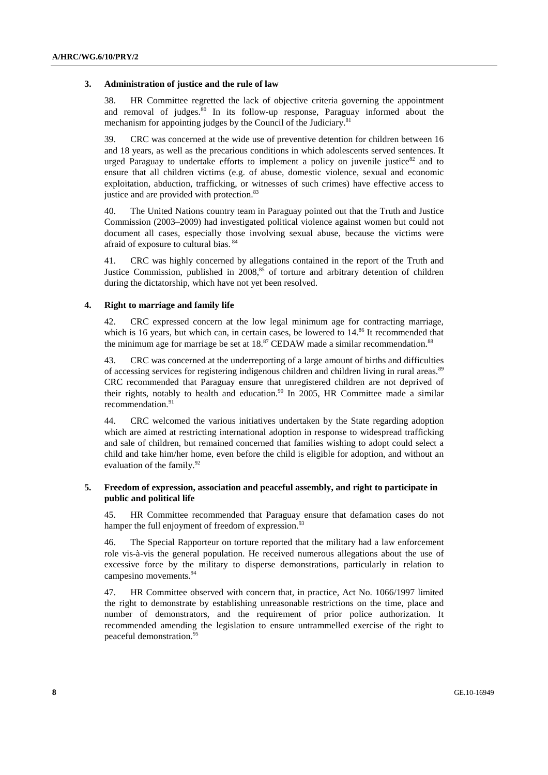#### **3. Administration of justice and the rule of law**

38. HR Committee regretted the lack of objective criteria governing the appointment and removal of judges. $80 \text{ In}$  its follow-up response, Paraguay informed about the mechanism for appointing judges by the Council of the Judiciary.<sup>81</sup>

39. CRC was concerned at the wide use of preventive detention for children between 16 and 18 years, as well as the precarious conditions in which adolescents served sentences. It urged Paraguay to undertake efforts to implement a policy on juvenile justice<sup>82</sup> and to ensure that all children victims (e.g. of abuse, domestic violence, sexual and economic exploitation, abduction, trafficking, or witnesses of such crimes) have effective access to justice and are provided with protection.<sup>83</sup>

40. The United Nations country team in Paraguay pointed out that the Truth and Justice Commission (2003–2009) had investigated political violence against women but could not document all cases, especially those involving sexual abuse, because the victims were afraid of exposure to cultural bias. 84

41. CRC was highly concerned by allegations contained in the report of the Truth and Justice Commission, published in  $2008<sup>85</sup>$  of torture and arbitrary detention of children during the dictatorship, which have not yet been resolved.

#### **4. Right to marriage and family life**

42. CRC expressed concern at the low legal minimum age for contracting marriage, which is 16 years, but which can, in certain cases, be lowered to  $14.86$  It recommended that the minimum age for marriage be set at  $18<sup>87</sup>$  CEDAW made a similar recommendation.<sup>88</sup>

43. CRC was concerned at the underreporting of a large amount of births and difficulties of accessing services for registering indigenous children and children living in rural areas.<sup>89</sup> CRC recommended that Paraguay ensure that unregistered children are not deprived of their rights, notably to health and education.<sup>90</sup> In 2005, HR Committee made a similar recommendation.<sup>91</sup>

44. CRC welcomed the various initiatives undertaken by the State regarding adoption which are aimed at restricting international adoption in response to widespread trafficking and sale of children, but remained concerned that families wishing to adopt could select a child and take him/her home, even before the child is eligible for adoption, and without an evaluation of the family.<sup>92</sup>

#### **5. Freedom of expression, association and peaceful assembly, and right to participate in public and political life**

45. HR Committee recommended that Paraguay ensure that defamation cases do not hamper the full enjoyment of freedom of expression.<sup>93</sup>

46. The Special Rapporteur on torture reported that the military had a law enforcement role vis-à-vis the general population. He received numerous allegations about the use of excessive force by the military to disperse demonstrations, particularly in relation to campesino movements.<sup>94</sup>

47. HR Committee observed with concern that, in practice, Act No. 1066/1997 limited the right to demonstrate by establishing unreasonable restrictions on the time, place and number of demonstrators, and the requirement of prior police authorization. It recommended amending the legislation to ensure untrammelled exercise of the right to peaceful demonstration.<sup>9</sup>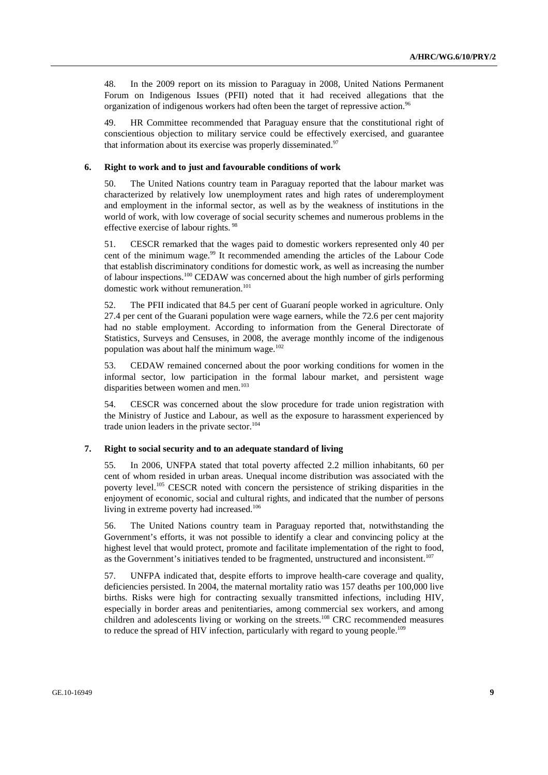48. In the 2009 report on its mission to Paraguay in 2008, United Nations Permanent Forum on Indigenous Issues (PFII) noted that it had received allegations that the organization of indigenous workers had often been the target of repressive action.<sup>96</sup>

49. HR Committee recommended that Paraguay ensure that the constitutional right of conscientious objection to military service could be effectively exercised, and guarantee that information about its exercise was properly disseminated.<sup>97</sup>

#### **6. Right to work and to just and favourable conditions of work**

50. The United Nations country team in Paraguay reported that the labour market was characterized by relatively low unemployment rates and high rates of underemployment and employment in the informal sector, as well as by the weakness of institutions in the world of work, with low coverage of social security schemes and numerous problems in the effective exercise of labour rights. 98

51. CESCR remarked that the wages paid to domestic workers represented only 40 per cent of the minimum wage.<sup>99</sup> It recommended amending the articles of the Labour Code that establish discriminatory conditions for domestic work, as well as increasing the number of labour inspections.100 CEDAW was concerned about the high number of girls performing domestic work without remuneration.<sup>101</sup>

52. The PFII indicated that 84.5 per cent of Guaraní people worked in agriculture. Only 27.4 per cent of the Guarani population were wage earners, while the 72.6 per cent majority had no stable employment. According to information from the General Directorate of Statistics, Surveys and Censuses, in 2008, the average monthly income of the indigenous population was about half the minimum wage. $102$ 

53. CEDAW remained concerned about the poor working conditions for women in the informal sector, low participation in the formal labour market, and persistent wage disparities between women and men.<sup>103</sup>

54. CESCR was concerned about the slow procedure for trade union registration with the Ministry of Justice and Labour, as well as the exposure to harassment experienced by trade union leaders in the private sector.<sup>104</sup>

#### **7. Right to social security and to an adequate standard of living**

55. In 2006, UNFPA stated that total poverty affected 2.2 million inhabitants, 60 per cent of whom resided in urban areas. Unequal income distribution was associated with the poverty level.<sup>105</sup> CESCR noted with concern the persistence of striking disparities in the enjoyment of economic, social and cultural rights, and indicated that the number of persons living in extreme poverty had increased.<sup>106</sup>

56. The United Nations country team in Paraguay reported that, notwithstanding the Government's efforts, it was not possible to identify a clear and convincing policy at the highest level that would protect, promote and facilitate implementation of the right to food, as the Government's initiatives tended to be fragmented, unstructured and inconsistent.<sup>107</sup>

57. UNFPA indicated that, despite efforts to improve health-care coverage and quality, deficiencies persisted. In 2004, the maternal mortality ratio was 157 deaths per 100,000 live births. Risks were high for contracting sexually transmitted infections, including HIV, especially in border areas and penitentiaries, among commercial sex workers, and among children and adolescents living or working on the streets.108 CRC recommended measures to reduce the spread of HIV infection, particularly with regard to young people.<sup>109</sup>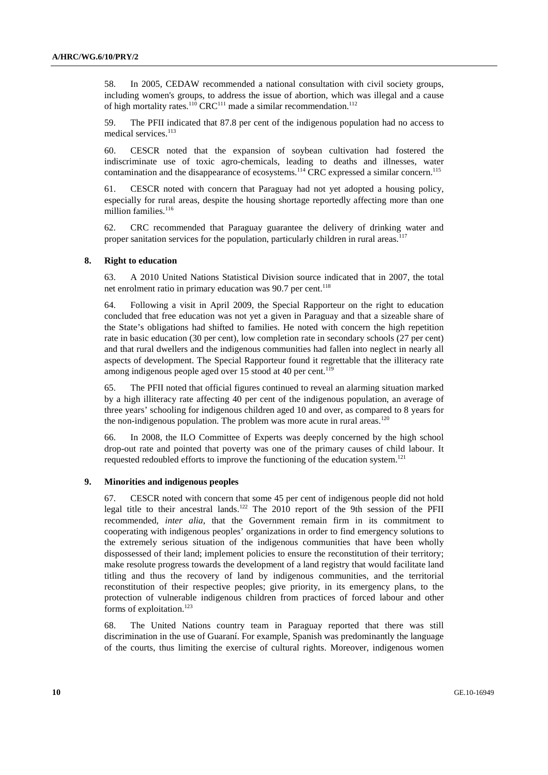58. In 2005, CEDAW recommended a national consultation with civil society groups, including women's groups, to address the issue of abortion, which was illegal and a cause of high mortality rates.<sup>110</sup> CRC<sup>111</sup> made a similar recommendation.<sup>112</sup>

59. The PFII indicated that 87.8 per cent of the indigenous population had no access to medical services.<sup>113</sup>

60. CESCR noted that the expansion of soybean cultivation had fostered the indiscriminate use of toxic agro-chemicals, leading to deaths and illnesses, water contamination and the disappearance of ecosystems.<sup>114</sup> CRC expressed a similar concern.<sup>115</sup>

61. CESCR noted with concern that Paraguay had not yet adopted a housing policy, especially for rural areas, despite the housing shortage reportedly affecting more than one million families.<sup>116</sup>

62. CRC recommended that Paraguay guarantee the delivery of drinking water and proper sanitation services for the population, particularly children in rural areas.<sup>117</sup>

#### **8. Right to education**

63. A 2010 United Nations Statistical Division source indicated that in 2007, the total net enrolment ratio in primary education was  $90.7$  per cent.<sup>118</sup>

64. Following a visit in April 2009, the Special Rapporteur on the right to education concluded that free education was not yet a given in Paraguay and that a sizeable share of the State's obligations had shifted to families. He noted with concern the high repetition rate in basic education (30 per cent), low completion rate in secondary schools (27 per cent) and that rural dwellers and the indigenous communities had fallen into neglect in nearly all aspects of development. The Special Rapporteur found it regrettable that the illiteracy rate among indigenous people aged over 15 stood at 40 per cent.<sup>119</sup>

65. The PFII noted that official figures continued to reveal an alarming situation marked by a high illiteracy rate affecting 40 per cent of the indigenous population, an average of three years' schooling for indigenous children aged 10 and over, as compared to 8 years for the non-indigenous population. The problem was more acute in rural areas.<sup>120</sup>

66. In 2008, the ILO Committee of Experts was deeply concerned by the high school drop-out rate and pointed that poverty was one of the primary causes of child labour. It requested redoubled efforts to improve the functioning of the education system.<sup>121</sup>

#### **9. Minorities and indigenous peoples**

67. CESCR noted with concern that some 45 per cent of indigenous people did not hold legal title to their ancestral lands.<sup>122</sup> The 2010 report of the 9th session of the PFII recommended, *inter alia*, that the Government remain firm in its commitment to cooperating with indigenous peoples' organizations in order to find emergency solutions to the extremely serious situation of the indigenous communities that have been wholly dispossessed of their land; implement policies to ensure the reconstitution of their territory; make resolute progress towards the development of a land registry that would facilitate land titling and thus the recovery of land by indigenous communities, and the territorial reconstitution of their respective peoples; give priority, in its emergency plans, to the protection of vulnerable indigenous children from practices of forced labour and other forms of exploitation.<sup>123</sup>

68. The United Nations country team in Paraguay reported that there was still discrimination in the use of Guaraní. For example, Spanish was predominantly the language of the courts, thus limiting the exercise of cultural rights. Moreover, indigenous women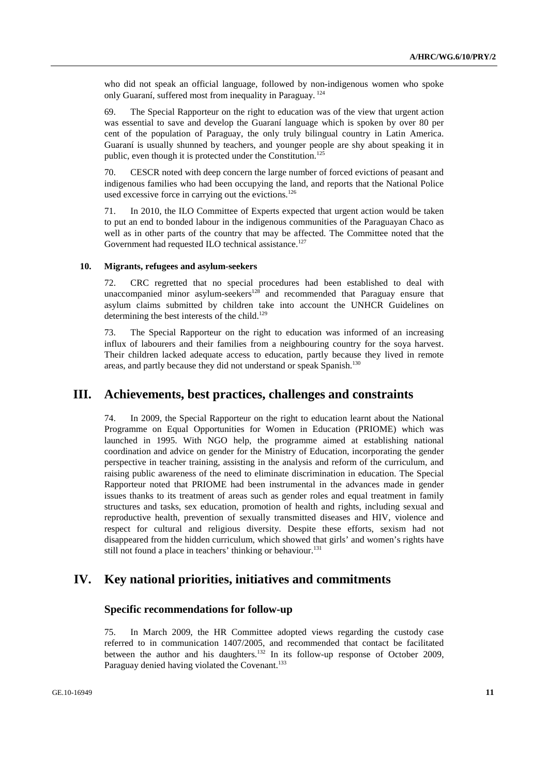who did not speak an official language, followed by non-indigenous women who spoke only Guaraní, suffered most from inequality in Paraguay. 124

69. The Special Rapporteur on the right to education was of the view that urgent action was essential to save and develop the Guaraní language which is spoken by over 80 per cent of the population of Paraguay, the only truly bilingual country in Latin America. Guaraní is usually shunned by teachers, and younger people are shy about speaking it in public, even though it is protected under the Constitution.<sup>125</sup>

70. CESCR noted with deep concern the large number of forced evictions of peasant and indigenous families who had been occupying the land, and reports that the National Police used excessive force in carrying out the evictions.<sup>126</sup>

71. In 2010, the ILO Committee of Experts expected that urgent action would be taken to put an end to bonded labour in the indigenous communities of the Paraguayan Chaco as well as in other parts of the country that may be affected. The Committee noted that the Government had requested ILO technical assistance.<sup>127</sup>

#### **10. Migrants, refugees and asylum-seekers**

72. CRC regretted that no special procedures had been established to deal with unaccompanied minor asylum-seekers<sup>128</sup> and recommended that Paraguay ensure that asylum claims submitted by children take into account the UNHCR Guidelines on determining the best interests of the child. $129$ 

73. The Special Rapporteur on the right to education was informed of an increasing influx of labourers and their families from a neighbouring country for the soya harvest. Their children lacked adequate access to education, partly because they lived in remote areas, and partly because they did not understand or speak Spanish.<sup>130</sup>

## **III. Achievements, best practices, challenges and constraints**

74. In 2009, the Special Rapporteur on the right to education learnt about the National Programme on Equal Opportunities for Women in Education (PRIOME) which was launched in 1995. With NGO help, the programme aimed at establishing national coordination and advice on gender for the Ministry of Education, incorporating the gender perspective in teacher training, assisting in the analysis and reform of the curriculum, and raising public awareness of the need to eliminate discrimination in education. The Special Rapporteur noted that PRIOME had been instrumental in the advances made in gender issues thanks to its treatment of areas such as gender roles and equal treatment in family structures and tasks, sex education, promotion of health and rights, including sexual and reproductive health, prevention of sexually transmitted diseases and HIV, violence and respect for cultural and religious diversity. Despite these efforts, sexism had not disappeared from the hidden curriculum, which showed that girls' and women's rights have still not found a place in teachers' thinking or behaviour.<sup>131</sup>

## **IV. Key national priorities, initiatives and commitments**

### **Specific recommendations for follow-up**

75. In March 2009, the HR Committee adopted views regarding the custody case referred to in communication 1407/2005, and recommended that contact be facilitated between the author and his daughters.<sup>132</sup> In its follow-up response of October 2009, Paraguay denied having violated the Covenant.<sup>133</sup>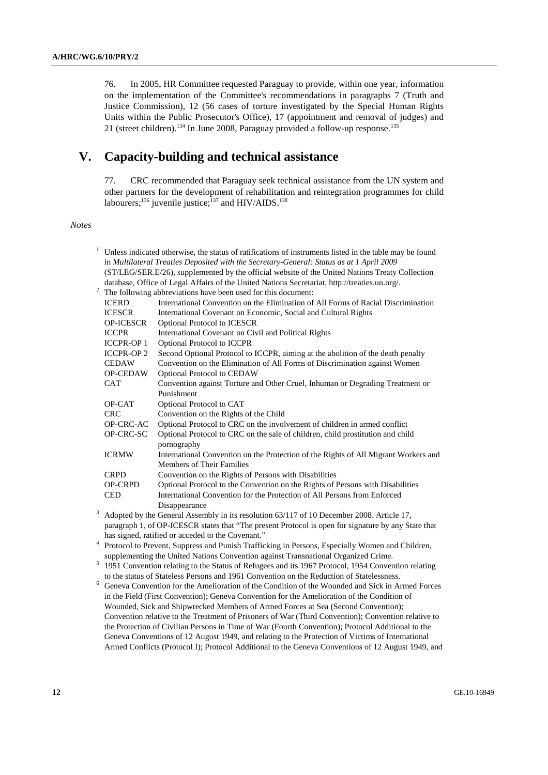76. In 2005, HR Committee requested Paraguay to provide, within one year, information on the implementation of the Committee's recommendations in paragraphs 7 (Truth and Justice Commission), 12 (56 cases of torture investigated by the Special Human Rights Units within the Public Prosecutor's Office), 17 (appointment and removal of judges) and 21 (street children).<sup>134</sup> In June 2008, Paraguay provided a follow-up response.<sup>135</sup>

## **V. Capacity-building and technical assistance**

77. CRC recommended that Paraguay seek technical assistance from the UN system and other partners for the development of rehabilitation and reintegration programmes for child labourers;<sup>136</sup> juvenile justice;<sup>137</sup> and HIV/AIDS.<sup>138</sup>

 *Notes* 

|                                                                                                                                                           | Unless indicated otherwise, the status of ratifications of instruments listed in the table may be found |                                                                                                                                                                                                  |  |  |  |  |  |
|-----------------------------------------------------------------------------------------------------------------------------------------------------------|---------------------------------------------------------------------------------------------------------|--------------------------------------------------------------------------------------------------------------------------------------------------------------------------------------------------|--|--|--|--|--|
|                                                                                                                                                           |                                                                                                         | in Multilateral Treaties Deposited with the Secretary-General: Status as at 1 April 2009                                                                                                         |  |  |  |  |  |
|                                                                                                                                                           |                                                                                                         | (ST/LEG/SER.E/26), supplemented by the official website of the United Nations Treaty Collection                                                                                                  |  |  |  |  |  |
|                                                                                                                                                           |                                                                                                         | database, Office of Legal Affairs of the United Nations Secretariat, http://treaties.un.org/.                                                                                                    |  |  |  |  |  |
| $\overline{c}$                                                                                                                                            | The following abbreviations have been used for this document:                                           |                                                                                                                                                                                                  |  |  |  |  |  |
|                                                                                                                                                           | <b>ICERD</b>                                                                                            | International Convention on the Elimination of All Forms of Racial Discrimination                                                                                                                |  |  |  |  |  |
|                                                                                                                                                           | <b>ICESCR</b>                                                                                           | International Covenant on Economic, Social and Cultural Rights                                                                                                                                   |  |  |  |  |  |
|                                                                                                                                                           | <b>OP-ICESCR</b>                                                                                        | Optional Protocol to ICESCR                                                                                                                                                                      |  |  |  |  |  |
|                                                                                                                                                           | <b>ICCPR</b>                                                                                            | International Covenant on Civil and Political Rights                                                                                                                                             |  |  |  |  |  |
|                                                                                                                                                           | <b>ICCPR-OP 1</b>                                                                                       | Optional Protocol to ICCPR                                                                                                                                                                       |  |  |  |  |  |
|                                                                                                                                                           | <b>ICCPR-OP2</b>                                                                                        | Second Optional Protocol to ICCPR, aiming at the abolition of the death penalty                                                                                                                  |  |  |  |  |  |
|                                                                                                                                                           | <b>CEDAW</b>                                                                                            | Convention on the Elimination of All Forms of Discrimination against Women                                                                                                                       |  |  |  |  |  |
|                                                                                                                                                           | <b>OP-CEDAW</b>                                                                                         | Optional Protocol to CEDAW                                                                                                                                                                       |  |  |  |  |  |
|                                                                                                                                                           | <b>CAT</b>                                                                                              | Convention against Torture and Other Cruel, Inhuman or Degrading Treatment or                                                                                                                    |  |  |  |  |  |
|                                                                                                                                                           |                                                                                                         | Punishment                                                                                                                                                                                       |  |  |  |  |  |
|                                                                                                                                                           | OP-CAT                                                                                                  | Optional Protocol to CAT                                                                                                                                                                         |  |  |  |  |  |
|                                                                                                                                                           | CRC                                                                                                     | Convention on the Rights of the Child                                                                                                                                                            |  |  |  |  |  |
|                                                                                                                                                           | OP-CRC-AC                                                                                               | Optional Protocol to CRC on the involvement of children in armed conflict                                                                                                                        |  |  |  |  |  |
|                                                                                                                                                           | OP-CRC-SC                                                                                               | Optional Protocol to CRC on the sale of children, child prostitution and child                                                                                                                   |  |  |  |  |  |
|                                                                                                                                                           |                                                                                                         | pornography                                                                                                                                                                                      |  |  |  |  |  |
|                                                                                                                                                           | <b>ICRMW</b>                                                                                            | International Convention on the Protection of the Rights of All Migrant Workers and                                                                                                              |  |  |  |  |  |
|                                                                                                                                                           |                                                                                                         | Members of Their Families                                                                                                                                                                        |  |  |  |  |  |
|                                                                                                                                                           | <b>CRPD</b>                                                                                             | Convention on the Rights of Persons with Disabilities                                                                                                                                            |  |  |  |  |  |
|                                                                                                                                                           | OP-CRPD                                                                                                 | Optional Protocol to the Convention on the Rights of Persons with Disabilities                                                                                                                   |  |  |  |  |  |
|                                                                                                                                                           | <b>CED</b>                                                                                              | International Convention for the Protection of All Persons from Enforced                                                                                                                         |  |  |  |  |  |
| 3                                                                                                                                                         |                                                                                                         | Disappearance                                                                                                                                                                                    |  |  |  |  |  |
|                                                                                                                                                           |                                                                                                         | Adopted by the General Assembly in its resolution 63/117 of 10 December 2008. Article 17,<br>paragraph 1, of OP-ICESCR states that "The present Protocol is open for signature by any State that |  |  |  |  |  |
|                                                                                                                                                           |                                                                                                         |                                                                                                                                                                                                  |  |  |  |  |  |
| has signed, ratified or acceded to the Covenant."<br>4<br>Protocol to Prevent, Suppress and Punish Trafficking in Persons, Especially Women and Children, |                                                                                                         |                                                                                                                                                                                                  |  |  |  |  |  |
|                                                                                                                                                           |                                                                                                         | supplementing the United Nations Convention against Transnational Organized Crime.                                                                                                               |  |  |  |  |  |
| 5                                                                                                                                                         |                                                                                                         | 1951 Convention relating to the Status of Refugees and its 1967 Protocol, 1954 Convention relating                                                                                               |  |  |  |  |  |
| to the status of Stateless Persons and 1961 Convention on the Reduction of Statelessness.                                                                 |                                                                                                         |                                                                                                                                                                                                  |  |  |  |  |  |
| 6                                                                                                                                                         |                                                                                                         | Geneva Convention for the Amelioration of the Condition of the Wounded and Sick in Armed Forces                                                                                                  |  |  |  |  |  |
|                                                                                                                                                           |                                                                                                         | in the Field (First Convention); Geneva Convention for the Amelioration of the Condition of                                                                                                      |  |  |  |  |  |
| Wounded, Sick and Shipwrecked Members of Armed Forces at Sea (Second Convention);                                                                         |                                                                                                         |                                                                                                                                                                                                  |  |  |  |  |  |
|                                                                                                                                                           |                                                                                                         | Convention relative to the Treatment of Prisoners of War (Third Convention); Convention relative to                                                                                              |  |  |  |  |  |
|                                                                                                                                                           |                                                                                                         | the Protection of Civilian Persons in Time of War (Fourth Convention); Protocol Additional to the                                                                                                |  |  |  |  |  |
|                                                                                                                                                           |                                                                                                         | Geneva Conventions of 12 August 1949, and relating to the Protection of Victims of International                                                                                                 |  |  |  |  |  |
| Armed Conflicts (Protocol I); Protocol Additional to the Geneva Conventions of 12 August 1949, and                                                        |                                                                                                         |                                                                                                                                                                                                  |  |  |  |  |  |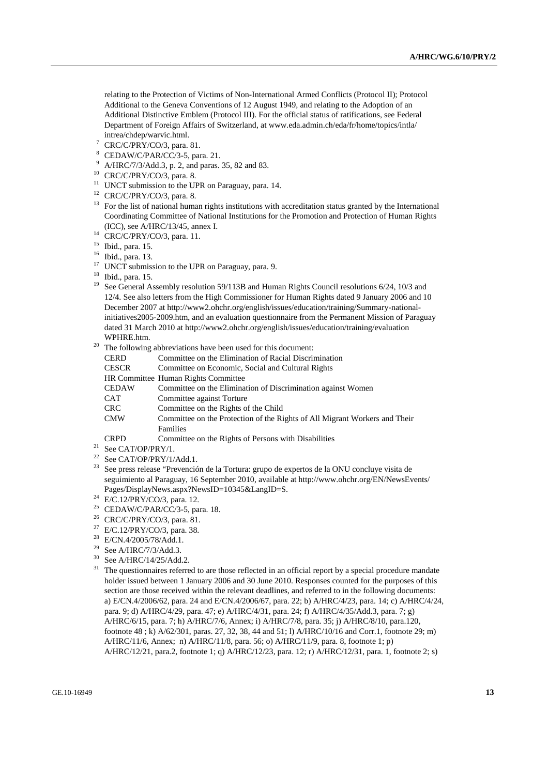relating to the Protection of Victims of Non-International Armed Conflicts (Protocol II); Protocol Additional to the Geneva Conventions of 12 August 1949, and relating to the Adoption of an Additional Distinctive Emblem (Protocol III). For the official status of ratifications, see Federal Department of Foreign Affairs of Switzerland, at www.eda.admin.ch/eda/fr/home/topics/intla/ intrea/chdep/warvic.html. 7

- CRC/C/PRY/CO/3, para. 81.
- 8 CEDAW/C/PAR/CC/3-5, para. 21.
- 9 A/HRC/7/3/Add.3, p. 2, and paras. 35, 82 and 83.
- 10 CRC/C/PRY/CO/3, para. 8.
- <sup>11</sup> UNCT submission to the UPR on Paraguay, para. 14.
- <sup>12</sup> CRC/C/PRY/CO/3, para. 8.
- <sup>13</sup> For the list of national human rights institutions with accreditation status granted by the International Coordinating Committee of National Institutions for the Promotion and Protection of Human Rights
- (ICC), see A/HRC/13/45, annex I.<br><sup>14</sup> CRC/C/PRY/CO/3, para. 11.
- 15 Ibid., para. 15.
- 16 Ibid., para. 13.
- <sup>17</sup> UNCT submission to the UPR on Paraguay, para. 9.
- 18 Ibid., para. 15.
- <sup>19</sup> See General Assembly resolution 59/113B and Human Rights Council resolutions 6/24, 10/3 and 12/4. See also letters from the High Commissioner for Human Rights dated 9 January 2006 and 10 December 2007 at http://www2.ohchr.org/english/issues/education/training/Summary-nationalinitiatives2005-2009.htm, and an evaluation questionnaire from the Permanent Mission of Paraguay dated 31 March 2010 at http://www2.ohchr.org/english/issues/education/training/evaluation
- WPHRE.htm.<br><sup>20</sup> The following abbreviations have been used for this document:
	- CERD Committee on the Elimination of Racial Discrimination

| <b>CESCR</b> |  |  | Committee on Economic, Social and Cultural Rights |  |
|--------------|--|--|---------------------------------------------------|--|
| ____         |  |  |                                                   |  |

- HR Committee Human Rights Committee
- CEDAW Committee on the Elimination of Discrimination against Women CAT Committee against Torture
- CRC Committee on the Rights of the Child
- CMW Committee on the Protection of the Rights of All Migrant Workers and Their Families
- CRPD Committee on the Rights of Persons with Disabilities 21 See CAT/OP/PRY/1.
- 
- $^{22}$  See CAT/OP/PRY/1/Add.1.
- 23 See press release "Prevención de la Tortura: grupo de expertos de la ONU concluye visita de seguimiento al Paraguay, 16 September 2010, available at http://www.ohchr.org/EN/NewsEvents/ Pages/DisplayNews.aspx?NewsID=10345&LangID=S. 24 E/C.12/PRY/CO/3, para. 12.
- 
- <sup>25</sup> CEDAW/C/PAR/CC/3-5, para. 18.
- 26 CRC/C/PRY/CO/3, para. 81.
- <sup>27</sup> E/C.12/PRY/CO/3, para. 38.
- <sup>28</sup> E/CN.4/2005/78/Add.1.
- <sup>29</sup> See A/HRC/7/3/Add.3.<br><sup>30</sup> See A/HRC/14/25/Add
- $30$  See A/HRC/14/25/Add.2.
- The questionnaires referred to are those reflected in an official report by a special procedure mandate holder issued between 1 January 2006 and 30 June 2010. Responses counted for the purposes of this section are those received within the relevant deadlines, and referred to in the following documents: a) E/CN.4/2006/62, para. 24 and E/CN.4/2006/67, para. 22; b) A/HRC/4/23, para. 14; c) A/HRC/4/24, para. 9; d) A/HRC/4/29, para. 47; e) A/HRC/4/31, para. 24; f) A/HRC/4/35/Add.3, para. 7; g) A/HRC/6/15, para. 7; h) A/HRC/7/6, Annex; i) A/HRC/7/8, para. 35; j) A/HRC/8/10, para.120, footnote 48 ; k) A/62/301, paras. 27, 32, 38, 44 and 51; l) A/HRC/10/16 and Corr.1, footnote 29; m) A/HRC/11/6, Annex; n) A/HRC/11/8, para. 56; o) A/HRC/11/9, para. 8, footnote 1; p) A/HRC/12/21, para.2, footnote 1; q) A/HRC/12/23, para. 12; r) A/HRC/12/31, para. 1, footnote 2; s)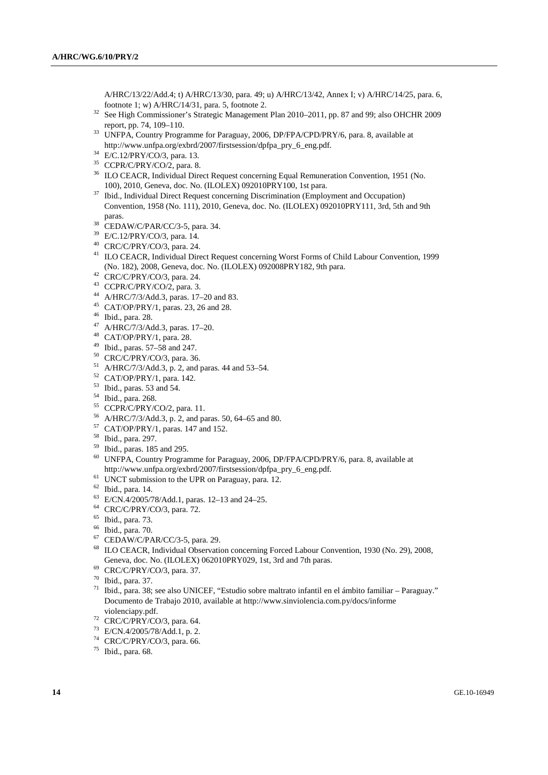A/HRC/13/22/Add.4; t) A/HRC/13/30, para. 49; u) A/HRC/13/42, Annex I; v) A/HRC/14/25, para. 6, footnote 1; w) A/HRC/14/31, para. 5, footnote 2.

- <sup>32</sup> See High Commissioner's Strategic Management Plan 2010–2011, pp. 87 and 99; also OHCHR 2009 report, pp. 74, 109–110.<br><sup>33</sup> UNFPA, Country Programme for Paraguay, 2006, DP/FPA/CPD/PRY/6, para. 8, available at
- http://www.unfpa.org/exbrd/2007/firstsession/dpfpa\_pry\_6\_eng.pdf. 34 E/C.12/PRY/CO/3, para. 13.
- 
- <sup>35</sup> CCPR/C/PRY/CO/2, para. 8.
- 36 ILO CEACR, Individual Direct Request concerning Equal Remuneration Convention, 1951 (No.
- 100), 2010, Geneva, doc. No. (ILOLEX) 092010PRY100, 1st para. 37 Ibid., Individual Direct Request concerning Discrimination (Employment and Occupation) Convention, 1958 (No. 111), 2010, Geneva, doc. No. (ILOLEX) 092010PRY111, 3rd, 5th and 9th
- paras. 38 CEDAW/C/PAR/CC/3-5, para. 34.
- 39 E/C.12/PRY/CO/3, para. 14.
- 40 CRC/C/PRY/CO/3, para. 24.
- 41 ILO CEACR, Individual Direct Request concerning Worst Forms of Child Labour Convention, 1999 (No. 182), 2008, Geneva, doc. No. (ILOLEX) 092008PRY182, 9th para. 42 CRC/C/PRY/CO/3, para. 24.
- 
- 43 CCPR/C/PRY/CO/2, para. 3.
- 44 A/HRC/7/3/Add.3, paras. 17–20 and 83.
- 45 CAT/OP/PRY/1, paras. 23, 26 and 28.
- 46 Ibid., para. 28.
- 47 A/HRC/7/3/Add.3, paras. 17–20.
- 48 CAT/OP/PRY/1, para. 28.
- 49 Ibid., paras. 57–58 and 247.
- 50 CRC/C/PRY/CO/3, para. 36.
- $^{51}$  A/HRC/7/3/Add.3, p. 2, and paras. 44 and 53–54.
- 52 CAT/OP/PRY/1, para. 142.
- 53 Ibid., paras. 53 and 54.
- 54 Ibid., para. 268.
- 55 CCPR/C/PRY/CO/2, para. 11.
- 56 A/HRC/7/3/Add.3, p. 2, and paras. 50, 64–65 and 80.
- 57 CAT/OP/PRY/1, paras. 147 and 152.
- 58 Ibid., para. 297.
- 59 Ibid., paras. 185 and 295.
- <sup>60</sup> UNFPA, Country Programme for Paraguay, 2006, DP/FPA/CPD/PRY/6, para. 8, available at http://www.unfpa.org/exbrd/2007/firstsession/dpfpa\_pry\_6\_eng.pdf.
- $h^{61}$  UNCT submission to the UPR on Paraguay, para. 12.
- 62 Ibid., para. 14.
- 63 E/CN.4/2005/78/Add.1, paras. 12–13 and 24–25.
- 64 CRC/C/PRY/CO/3, para. 72.
- 65 Ibid., para. 73.
- 66 Ibid., para. 70.
- 67 CEDAW/C/PAR/CC/3-5, para. 29.
- 68 ILO CEACR, Individual Observation concerning Forced Labour Convention, 1930 (No. 29), 2008, Geneva, doc. No. (ILOLEX) 062010PRY029, 1st, 3rd and 7th paras. 69 CRC/C/PRY/CO/3, para. 37.
- 
- 70 Ibid., para. 37.
- 71 Ibid., para. 38; see also UNICEF, "Estudio sobre maltrato infantil en el ámbito familiar Paraguay." Documento de Trabajo 2010, available at http://www.sinviolencia.com.py/docs/informe violenciapy.pdf.<br><sup>72</sup> CRC/C/PRY/CO/3, para. 64.
- 
- 73 E/CN.4/2005/78/Add.1, p. 2.
- 74 CRC/C/PRY/CO/3, para. 66.

<sup>75</sup> Ibid., para. 68.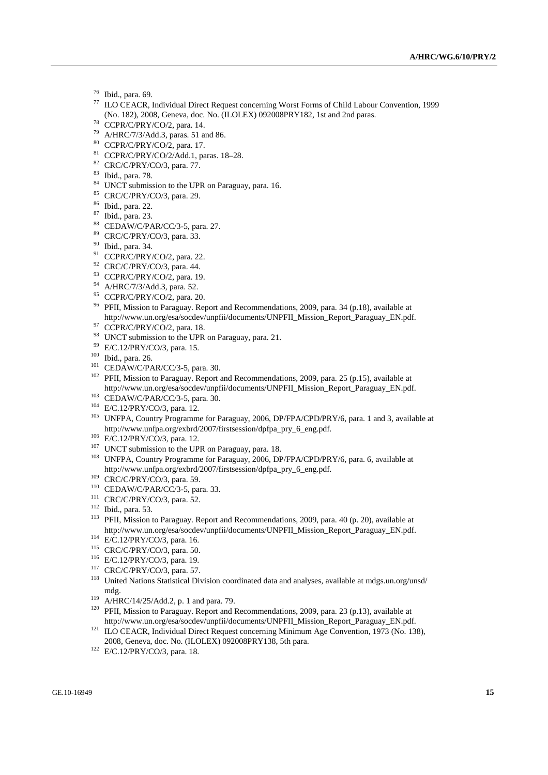- $^{76}$  Ibid., para. 69.
- 77 ILO CEACR, Individual Direct Request concerning Worst Forms of Child Labour Convention, 1999 (No. 182), 2008, Geneva, doc. No. (ILOLEX) 092008PRY182, 1st and 2nd paras. 78 CCPR/C/PRY/CO/2, para. 14.
- 
- 79 A/HRC/7/3/Add.3, paras. 51 and 86.
- 80 CCPR/C/PRY/CO/2, para. 17.
- 81 CCPR/C/PRY/CO/2/Add.1, paras. 18–28.
- 82 CRC/C/PRY/CO/3, para. 77.
- 83 Ibid., para. 78.
- <sup>84</sup> UNCT submission to the UPR on Paraguay, para. 16.
- 85 CRC/C/PRY/CO/3, para. 29.
- 86 Ibid., para. 22.
- 87 Ibid., para. 23.
- 88 CEDAW/C/PAR/CC/3-5, para. 27.
- 89 CRC/C/PRY/CO/3, para. 33.
- 90 Ibid., para. 34.
- $91$  CCPR/C/PRY/CO/2, para. 22.
- 92 CRC/C/PRY/CO/3, para. 44.
- 93 CCPR/C/PRY/CO/2, para. 19.
- 94 A/HRC/7/3/Add.3, para. 52.
- 95 CCPR/C/PRY/CO/2, para. 20.
- <sup>96</sup> PFII, Mission to Paraguay. Report and Recommendations, 2009, para. 34 (p.18), available at http://www.un.org/esa/socdev/unpfii/documents/UNPFII\_Mission\_Report\_Paraguay\_EN.pdf. 97 CCPR/C/PRY/CO/2, para. 18.
- 
- <sup>98</sup> UNCT submission to the UPR on Paraguay, para. 21.<br><sup>99</sup> E/C.12/PRY/CO/3, para. 15.
- 
- 
- 

<sup>100</sup> Ibid., para. 26.<br><sup>101</sup> CEDAW/C/PAR/CC/3-5, para. 30.<br><sup>102</sup> PFII, Mission to Paraguay. Report and Recommendations, 2009, para. 25 (p.15), available at

- 
- 
- http://www.un.org/esa/socdev/unpfii/documents/UNPFII\_Mission\_Report\_Paraguay\_EN.pdf.<br>
CEDAW/C/PAR/CC/3-5, para. 30.<br>
E/C.12/PRY/CO/3, para. 12.<br>
<sup>104</sup> E/C.12/PRY/CO/3, para. 12.<br>
<sup>105</sup> UNFPA, Country Programme for Paraguay
- 
- 
- <sup>106</sup> E/C.12/PRY/CO/3, para. 12.<br><sup>107</sup> UNCT submission to the UPR on Paraguay, para. 18.<br><sup>108</sup> UNFPA, Country Programme for Paraguay, 2006, DP/FPA/CPD/PRY/6, para. 6, available at<br>http://www.unfpa.org/exbrd/2007/firstsess
- 
- 
- 
- 
- <sup>109</sup> CRC/C/PRY/CO/3, para. 59.<br>
<sup>110</sup> CEDAW/C/PAR/CC/3-5, para. 33.<br>
<sup>111</sup> CRC/C/PRY/CO/3, para. 52.<br>
<sup>112</sup> Ibid., para. 53.<br>
<sup>113</sup> PFII, Mission to Paraguay. Report and Recommendations, 2009, para. 40 (p. 20), available
- 
- 
- 
- 
- <sup>114</sup> E/C.12/PRY/CO/3, para. 16.<br>
<sup>115</sup> CRC/C/PRY/CO/3, para. 50.<br>
<sup>116</sup> E/C.12/PRY/CO/3, para. 19.<br>
<sup>117</sup> CRC/C/PRY/CO/3, para. 57.<br>
<sup>117</sup> CRC/C/PRY/CO/3, para. 57.<br>
<sup>118</sup> United Nations Statistical Division coordinated
- 
- mdg.<br>
<sup>119</sup> A/HRC/14/25/Add.2, p. 1 and para. 79.<br>
<sup>120</sup> PFII, Mission to Paraguay. Report and Recommendations, 2009, para. 23 (p.13), available at<br>
http://www.un.org/esa/socdev/unpfii/documents/UNPFII\_Mission\_Report\_Parag
- <sup>121</sup> ILO CEACR, Individual Direct Request concerning Minimum Age Convention, 1973 (No. 138), 2008, Geneva, doc. No. (ILOLEX) 092008PRY138, 5th para. 122 E/C.12/PRY/CO/3, para. 18.
-